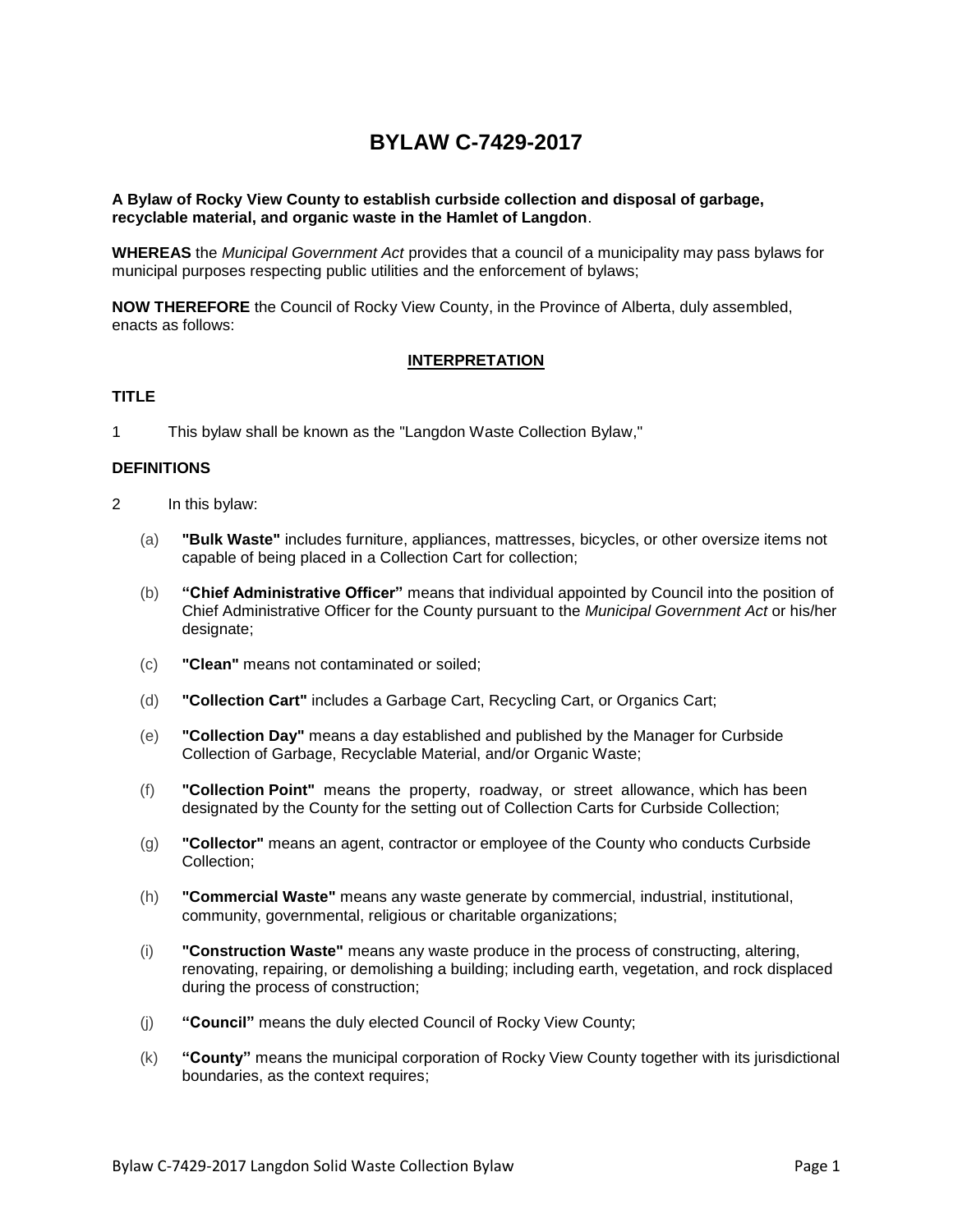# **BYLAW C-7429-2017**

#### **A Bylaw of Rocky View County to establish curbside collection and disposal of garbage, recyclable material, and organic waste in the Hamlet of Langdon**.

**WHEREAS** the *Municipal Government Act* provides that a council of a municipality may pass bylaws for municipal purposes respecting public utilities and the enforcement of bylaws;

**NOW THEREFORE** the Council of Rocky View County, in the Province of Alberta, duly assembled, enacts as follows:

#### **INTERPRETATION**

### **TITLE**

1 This bylaw shall be known as the "Langdon Waste Collection Bylaw,"

#### **DEFINITIONS**

- 2 In this bylaw:
	- (a) **"Bulk Waste"** includes furniture, appliances, mattresses, bicycles, or other oversize items not capable of being placed in a Collection Cart for collection;
	- (b) **"Chief Administrative Officer"** means that individual appointed by Council into the position of Chief Administrative Officer for the County pursuant to the *Municipal Government Act* or his/her designate;
	- (c) **"Clean"** means not contaminated or soiled;
	- (d) **"Collection Cart"** includes a Garbage Cart, Recycling Cart, or Organics Cart;
	- (e) **"Collection Day"** means a day established and published by the Manager for Curbside Collection of Garbage, Recyclable Material, and/or Organic Waste;
	- (f) **"Collection Point"** means the property, roadway, or street allowance, which has been designated by the County for the setting out of Collection Carts for Curbside Collection;
	- (g) **"Collector"** means an agent, contractor or employee of the County who conducts Curbside Collection;
	- (h) **"Commercial Waste"** means any waste generate by commercial, industrial, institutional, community, governmental, religious or charitable organizations;
	- (i) **"Construction Waste"** means any waste produce in the process of constructing, altering, renovating, repairing, or demolishing a building; including earth, vegetation, and rock displaced during the process of construction;
	- (j) **"Council"** means the duly elected Council of Rocky View County;
	- (k) **"County"** means the municipal corporation of Rocky View County together with its jurisdictional boundaries, as the context requires;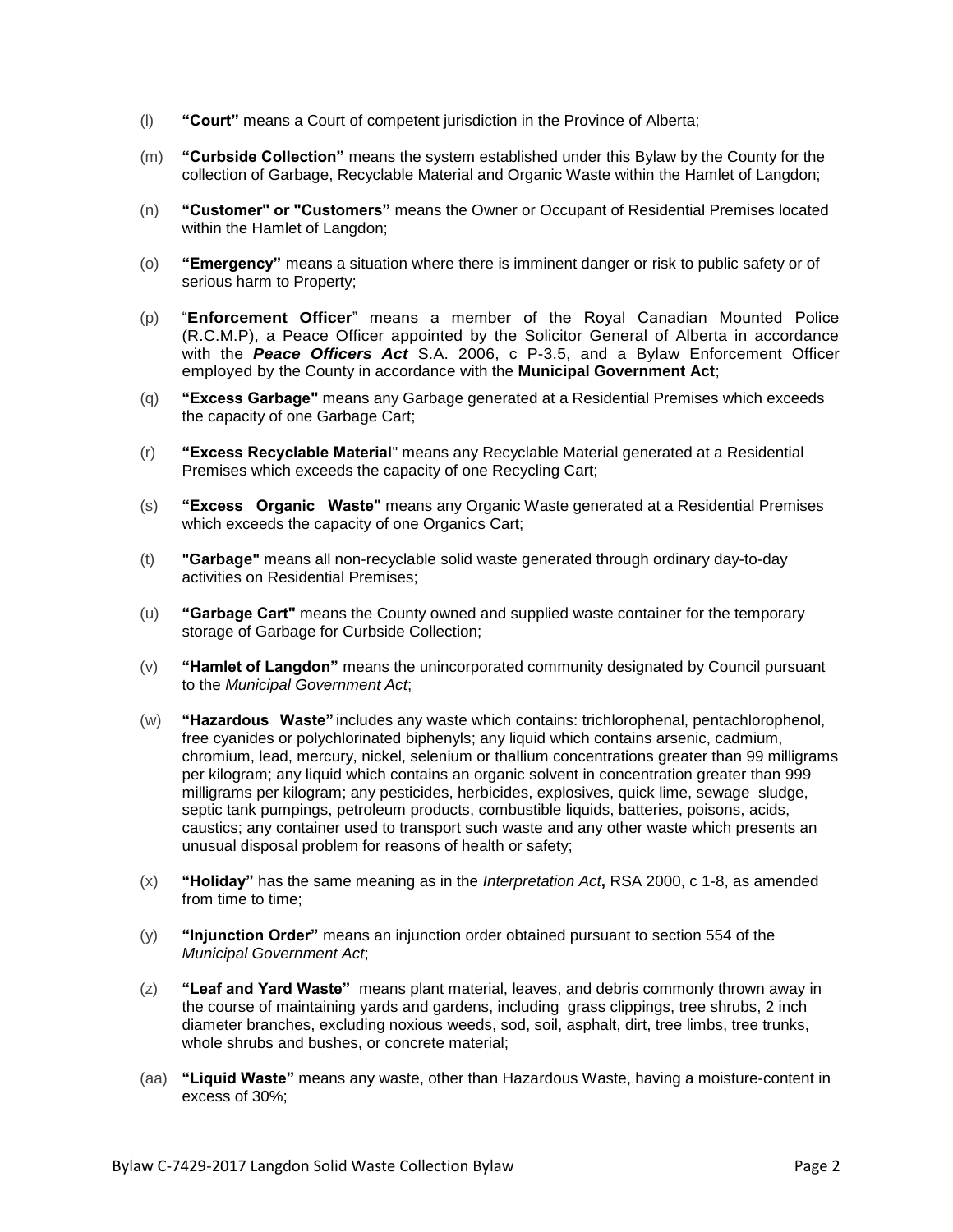- (l) **"Court"** means a Court of competent jurisdiction in the Province of Alberta;
- (m) **"Curbside Collection"** means the system established under this Bylaw by the County for the collection of Garbage, Recyclable Material and Organic Waste within the Hamlet of Langdon;
- (n) **"Customer" or "Customers"** means the Owner or Occupant of Residential Premises located within the Hamlet of Langdon;
- (o) **"Emergency"** means a situation where there is imminent danger or risk to public safety or of serious harm to Property;
- (p) "**Enforcement Officer**" means a member of the Royal Canadian Mounted Police (R.C.M.P), a Peace Officer appointed by the Solicitor General of Alberta in accordance with the *Peace Officers Act* S.A. 2006, c P-3.5, and a Bylaw Enforcement Officer employed by the County in accordance with the **Municipal Government Act**;
- (q) **"Excess Garbage"** means any Garbage generated at a Residential Premises which exceeds the capacity of one Garbage Cart;
- (r) **"Excess Recyclable Material**" means any Recyclable Material generated at a Residential Premises which exceeds the capacity of one Recycling Cart;
- (s) **"Excess Organic Waste"** means any Organic Waste generated at a Residential Premises which exceeds the capacity of one Organics Cart;
- (t) **"Garbage"** means all non-recyclable solid waste generated through ordinary day-to-day activities on Residential Premises;
- (u) **"Garbage Cart"** means the County owned and supplied waste container for the temporary storage of Garbage for Curbside Collection;
- (v) **"Hamlet of Langdon"** means the unincorporated community designated by Council pursuant to the *Municipal Government Act*;
- (w) **"Hazardous Waste"** includes any waste which contains: trichlorophenal, pentachlorophenol, free cyanides or polychlorinated biphenyls; any liquid which contains arsenic, cadmium, chromium, lead, mercury, nickel, selenium or thallium concentrations greater than 99 milligrams per kilogram; any liquid which contains an organic solvent in concentration greater than 999 milligrams per kilogram; any pesticides, herbicides, explosives, quick lime, sewage sludge, septic tank pumpings, petroleum products, combustible liquids, batteries, poisons, acids, caustics; any container used to transport such waste and any other waste which presents an unusual disposal problem for reasons of health or safety;
- (x) **"Holiday"** has the same meaning as in the *Interpretation Act***,** RSA 2000, c 1-8, as amended from time to time;
- (y) **"Injunction Order"** means an injunction order obtained pursuant to section 554 of the *Municipal Government Act*;
- (z) **"Leaf and Yard Waste"** means plant material, leaves, and debris commonly thrown away in the course of maintaining yards and gardens, including grass clippings, tree shrubs, 2 inch diameter branches, excluding noxious weeds, sod, soil, asphalt, dirt, tree limbs, tree trunks, whole shrubs and bushes, or concrete material;
- (aa) **"Liquid Waste"** means any waste, other than Hazardous Waste, having a moisture-content in excess of 30%;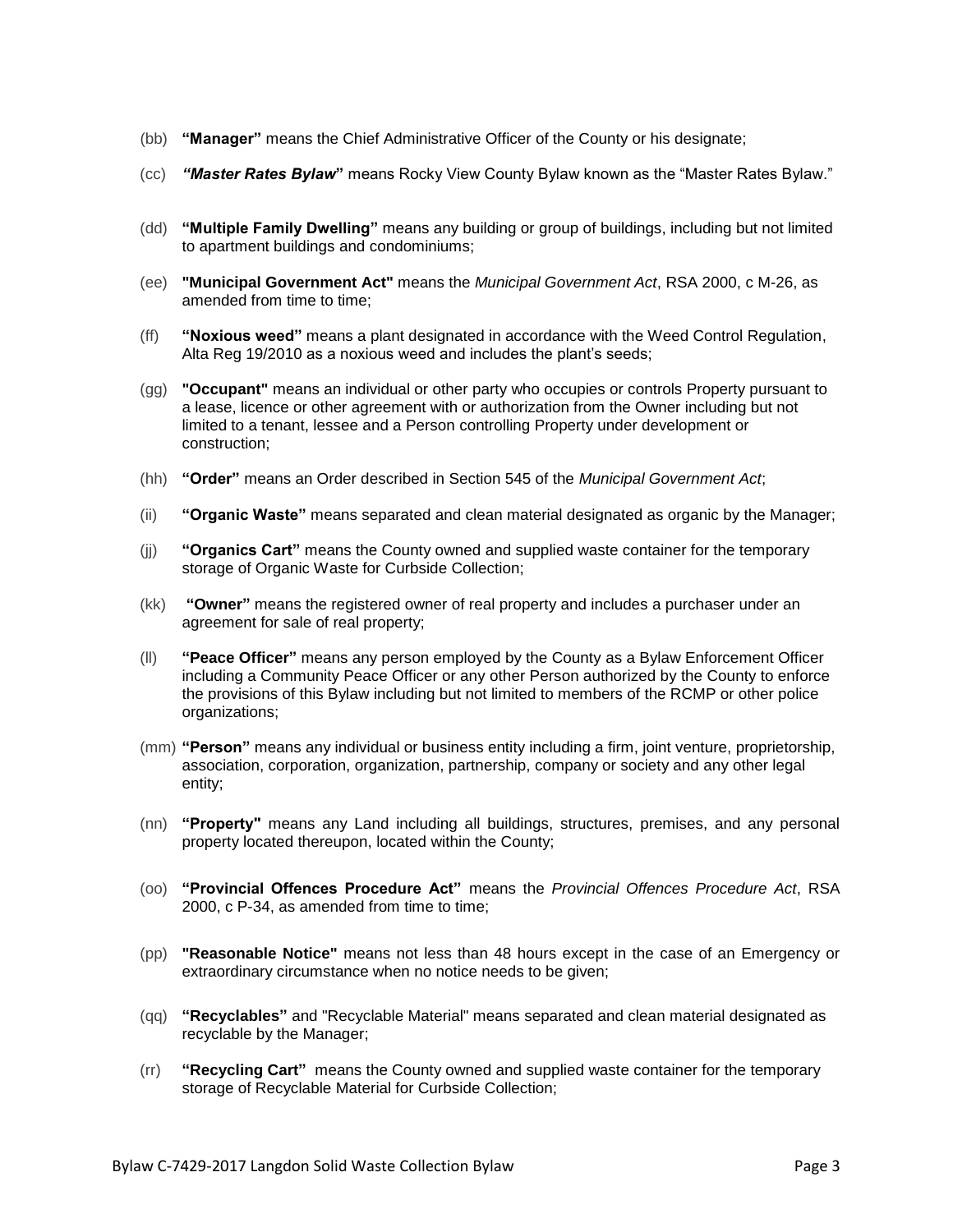- (bb) **"Manager"** means the Chief Administrative Officer of the County or his designate;
- (cc) *"Master Rates Bylaw***"** means Rocky View County Bylaw known as the "Master Rates Bylaw."
- (dd) **"Multiple Family Dwelling"** means any building or group of buildings, including but not limited to apartment buildings and condominiums;
- (ee) **"Municipal Government Act"** means the *Municipal Government Act*, RSA 2000, c M-26, as amended from time to time;
- (ff) **"Noxious weed"** means a plant designated in accordance with the Weed Control Regulation, Alta Reg 19/2010 as a noxious weed and includes the plant's seeds;
- (gg) **"Occupant"** means an individual or other party who occupies or controls Property pursuant to a lease, licence or other agreement with or authorization from the Owner including but not limited to a tenant, lessee and a Person controlling Property under development or construction;
- (hh) **"Order"** means an Order described in Section 545 of the *Municipal Government Act*;
- (ii) **"Organic Waste"** means separated and clean material designated as organic by the Manager;
- (jj) **"Organics Cart"** means the County owned and supplied waste container for the temporary storage of Organic Waste for Curbside Collection;
- (kk) **"Owner"** means the registered owner of real property and includes a purchaser under an agreement for sale of real property;
- (ll) **"Peace Officer"** means any person employed by the County as a Bylaw Enforcement Officer including a Community Peace Officer or any other Person authorized by the County to enforce the provisions of this Bylaw including but not limited to members of the RCMP or other police organizations;
- (mm) **"Person"** means any individual or business entity including a firm, joint venture, proprietorship, association, corporation, organization, partnership, company or society and any other legal entity;
- (nn) **"Property"** means any Land including all buildings, structures, premises, and any personal property located thereupon, located within the County;
- (oo) **"Provincial Offences Procedure Act"** means the *Provincial Offences Procedure Act*, RSA 2000, c P-34, as amended from time to time;
- (pp) **"Reasonable Notice"** means not less than 48 hours except in the case of an Emergency or extraordinary circumstance when no notice needs to be given;
- (qq) **"Recyclables"** and "Recyclable Material" means separated and clean material designated as recyclable by the Manager;
- (rr) **"Recycling Cart"** means the County owned and supplied waste container for the temporary storage of Recyclable Material for Curbside Collection;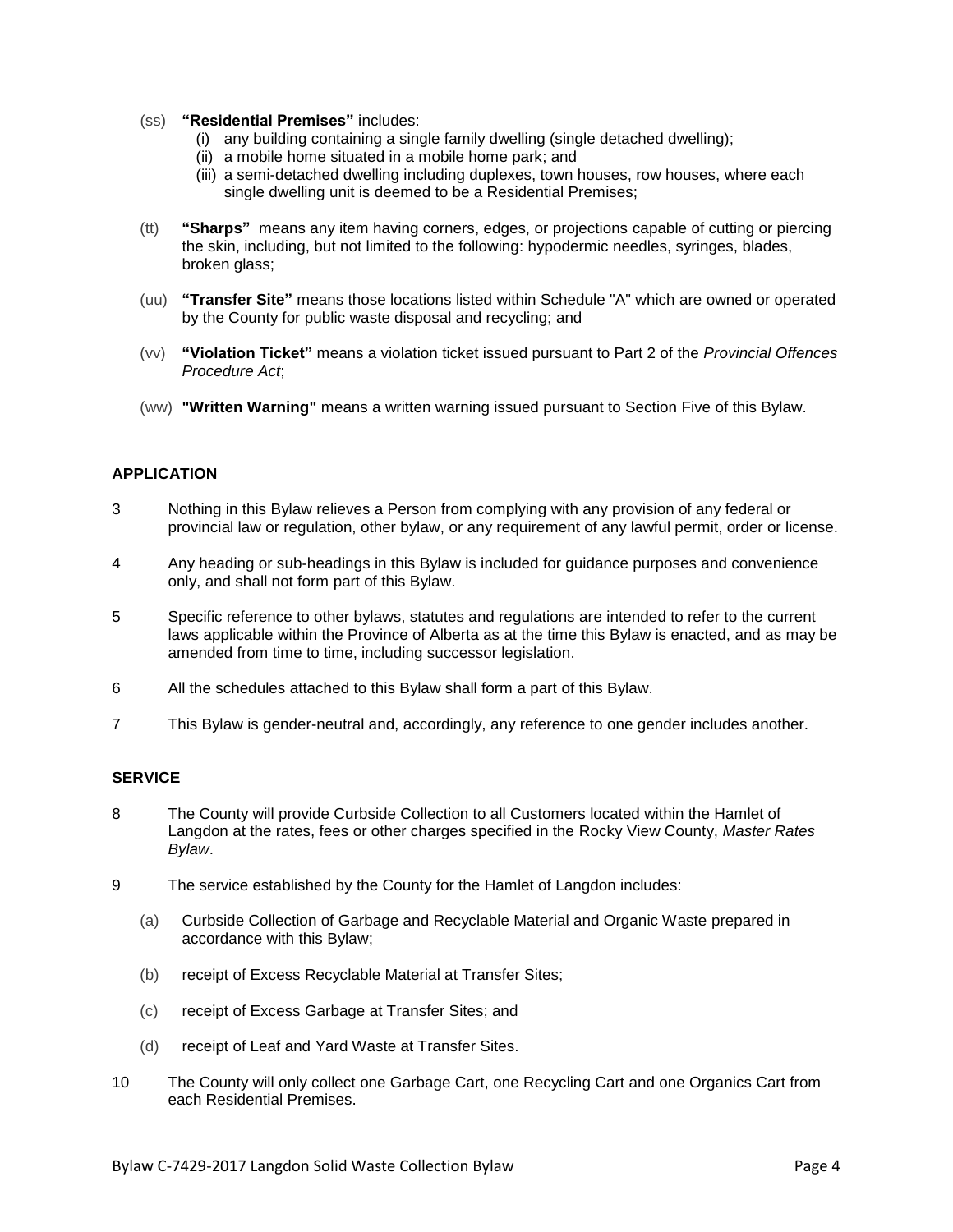- (ss) **"Residential Premises"** includes:
	- (i) any building containing a single family dwelling (single detached dwelling);
	- (ii) a mobile home situated in a mobile home park; and
	- (iii) a semi-detached dwelling including duplexes, town houses, row houses, where each single dwelling unit is deemed to be a Residential Premises;
- (tt) **"Sharps"** means any item having corners, edges, or projections capable of cutting or piercing the skin, including, but not limited to the following: hypodermic needles, syringes, blades, broken glass;
- (uu) **"Transfer Site"** means those locations listed within Schedule "A" which are owned or operated by the County for public waste disposal and recycling; and
- (vv) **"Violation Ticket"** means a violation ticket issued pursuant to Part 2 of the *Provincial Offences Procedure Act*;
- (ww) **"Written Warning"** means a written warning issued pursuant to Section Five of this Bylaw.

# **APPLICATION**

- 3 Nothing in this Bylaw relieves a Person from complying with any provision of any federal or provincial law or regulation, other bylaw, or any requirement of any lawful permit, order or license.
- 4 Any heading or sub-headings in this Bylaw is included for guidance purposes and convenience only, and shall not form part of this Bylaw.
- 5 Specific reference to other bylaws, statutes and regulations are intended to refer to the current laws applicable within the Province of Alberta as at the time this Bylaw is enacted, and as may be amended from time to time, including successor legislation.
- 6 All the schedules attached to this Bylaw shall form a part of this Bylaw.
- 7 This Bylaw is gender-neutral and, accordingly, any reference to one gender includes another.

# **SERVICE**

- 8 The County will provide Curbside Collection to all Customers located within the Hamlet of Langdon at the rates, fees or other charges specified in the Rocky View County, *Master Rates Bylaw*.
- 9 The service established by the County for the Hamlet of Langdon includes:
	- (a) Curbside Collection of Garbage and Recyclable Material and Organic Waste prepared in accordance with this Bylaw;
	- (b) receipt of Excess Recyclable Material at Transfer Sites;
	- (c) receipt of Excess Garbage at Transfer Sites; and
	- (d) receipt of Leaf and Yard Waste at Transfer Sites.
- 10 The County will only collect one Garbage Cart, one Recycling Cart and one Organics Cart from each Residential Premises.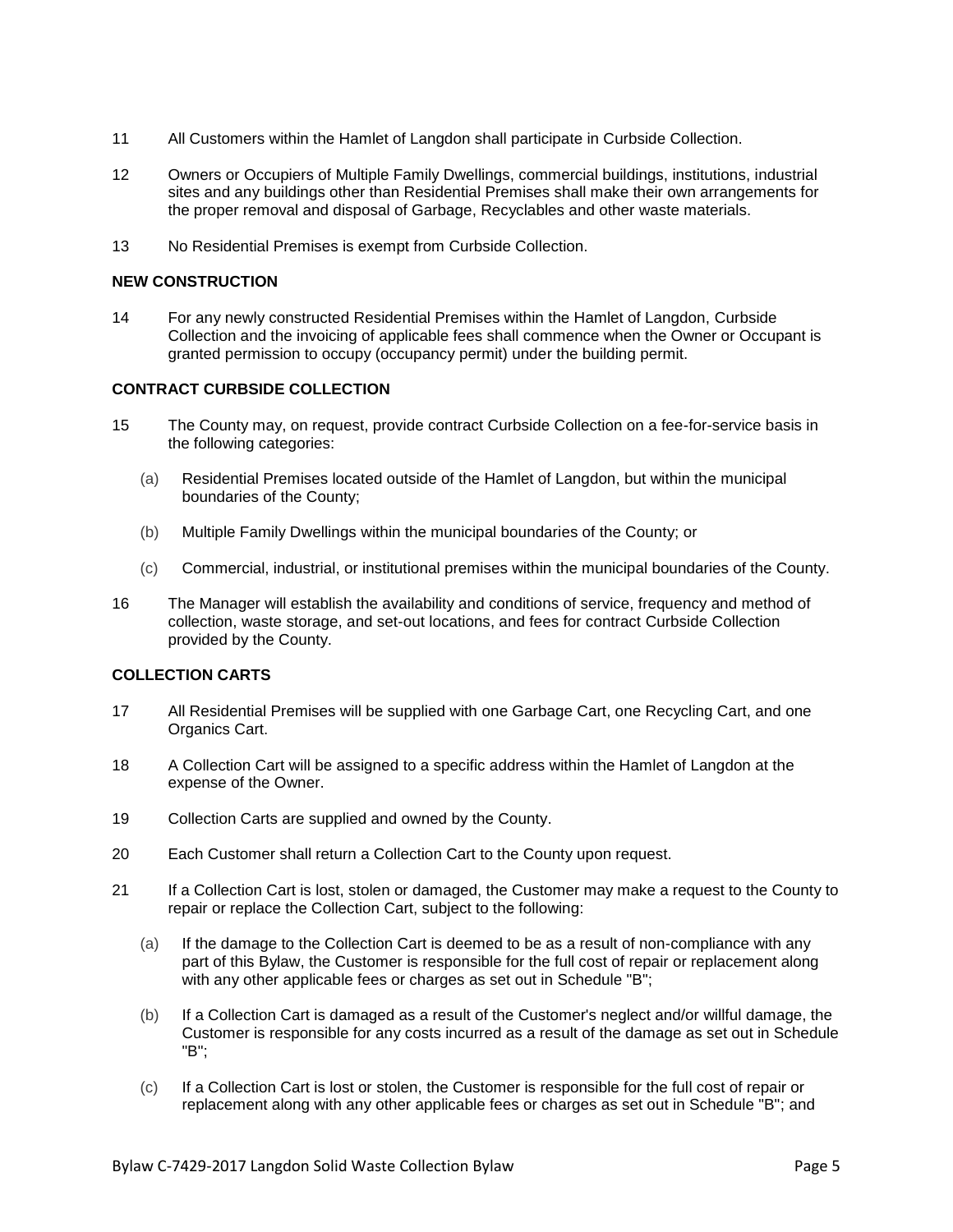- 11 All Customers within the Hamlet of Langdon shall participate in Curbside Collection.
- 12 Owners or Occupiers of Multiple Family Dwellings, commercial buildings, institutions, industrial sites and any buildings other than Residential Premises shall make their own arrangements for the proper removal and disposal of Garbage, Recyclables and other waste materials.
- 13 No Residential Premises is exempt from Curbside Collection.

# **NEW CONSTRUCTION**

14 For any newly constructed Residential Premises within the Hamlet of Langdon, Curbside Collection and the invoicing of applicable fees shall commence when the Owner or Occupant is granted permission to occupy (occupancy permit) under the building permit.

# **CONTRACT CURBSIDE COLLECTION**

- 15 The County may, on request, provide contract Curbside Collection on a fee-for-service basis in the following categories:
	- (a) Residential Premises located outside of the Hamlet of Langdon, but within the municipal boundaries of the County;
	- (b) Multiple Family Dwellings within the municipal boundaries of the County; or
	- (c) Commercial, industrial, or institutional premises within the municipal boundaries of the County.
- 16 The Manager will establish the availability and conditions of service, frequency and method of collection, waste storage, and set-out locations, and fees for contract Curbside Collection provided by the County.

# **COLLECTION CARTS**

- 17 All Residential Premises will be supplied with one Garbage Cart, one Recycling Cart, and one Organics Cart.
- 18 A Collection Cart will be assigned to a specific address within the Hamlet of Langdon at the expense of the Owner.
- 19 Collection Carts are supplied and owned by the County.
- 20 Each Customer shall return a Collection Cart to the County upon request.
- 21 If a Collection Cart is lost, stolen or damaged, the Customer may make a request to the County to repair or replace the Collection Cart, subject to the following:
	- (a) If the damage to the Collection Cart is deemed to be as a result of non-compliance with any part of this Bylaw, the Customer is responsible for the full cost of repair or replacement along with any other applicable fees or charges as set out in Schedule "B";
	- (b) If a Collection Cart is damaged as a result of the Customer's neglect and/or willful damage, the Customer is responsible for any costs incurred as a result of the damage as set out in Schedule "B";
	- (c) If a Collection Cart is lost or stolen, the Customer is responsible for the full cost of repair or replacement along with any other applicable fees or charges as set out in Schedule "B"; and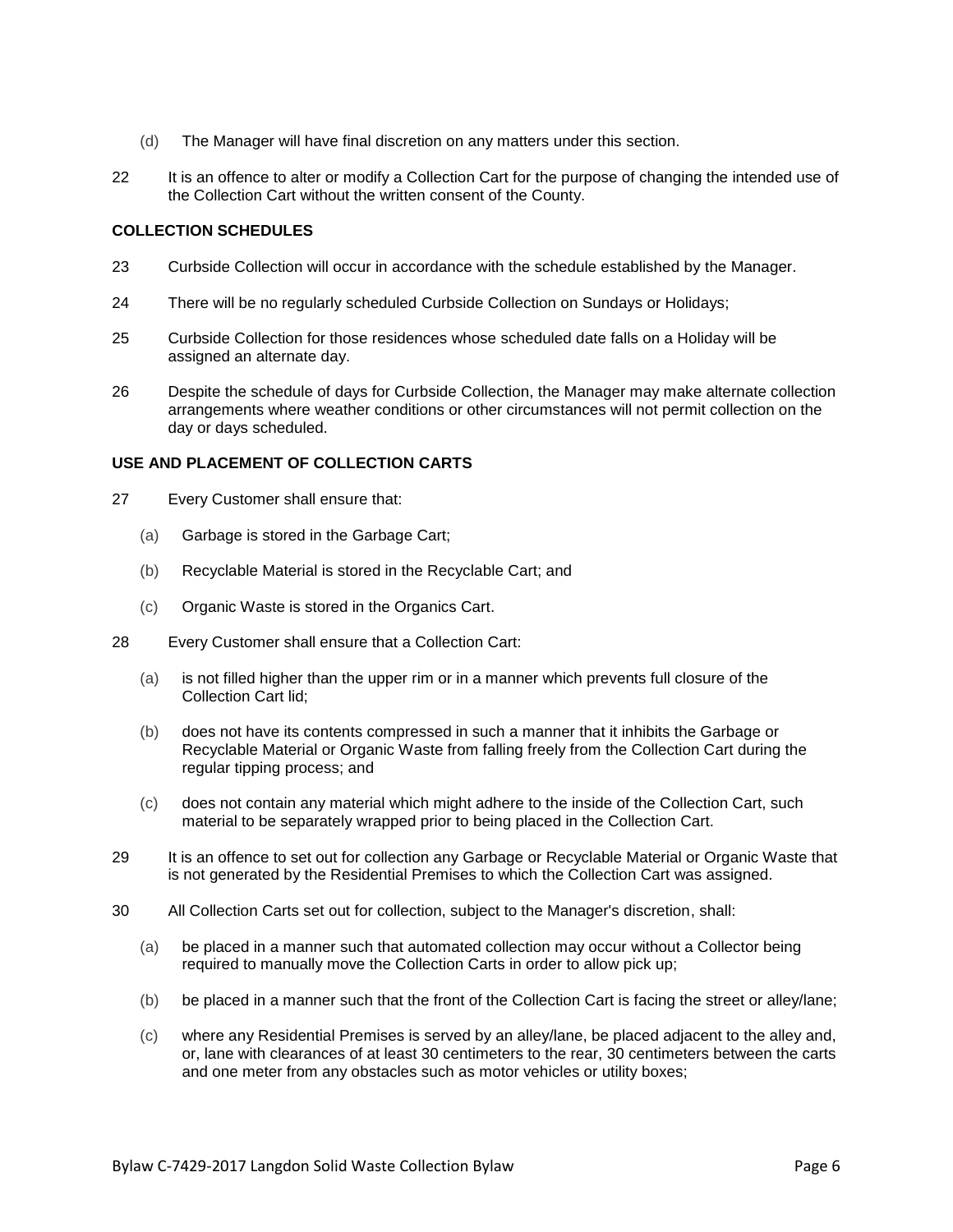- (d) The Manager will have final discretion on any matters under this section.
- 22 It is an offence to alter or modify a Collection Cart for the purpose of changing the intended use of the Collection Cart without the written consent of the County.

### **COLLECTION SCHEDULES**

- 23 Curbside Collection will occur in accordance with the schedule established by the Manager.
- 24 There will be no regularly scheduled Curbside Collection on Sundays or Holidays;
- 25 Curbside Collection for those residences whose scheduled date falls on a Holiday will be assigned an alternate day.
- 26 Despite the schedule of days for Curbside Collection, the Manager may make alternate collection arrangements where weather conditions or other circumstances will not permit collection on the day or days scheduled.

### **USE AND PLACEMENT OF COLLECTION CARTS**

- 27 Every Customer shall ensure that:
	- (a) Garbage is stored in the Garbage Cart;
	- (b) Recyclable Material is stored in the Recyclable Cart; and
	- (c) Organic Waste is stored in the Organics Cart.
- 28 Every Customer shall ensure that a Collection Cart:
	- (a) is not filled higher than the upper rim or in a manner which prevents full closure of the Collection Cart lid;
	- (b) does not have its contents compressed in such a manner that it inhibits the Garbage or Recyclable Material or Organic Waste from falling freely from the Collection Cart during the regular tipping process; and
	- (c) does not contain any material which might adhere to the inside of the Collection Cart, such material to be separately wrapped prior to being placed in the Collection Cart.
- 29 It is an offence to set out for collection any Garbage or Recyclable Material or Organic Waste that is not generated by the Residential Premises to which the Collection Cart was assigned.
- 30 All Collection Carts set out for collection, subject to the Manager's discretion, shall:
	- (a) be placed in a manner such that automated collection may occur without a Collector being required to manually move the Collection Carts in order to allow pick up;
	- (b) be placed in a manner such that the front of the Collection Cart is facing the street or alley/lane;
	- (c) where any Residential Premises is served by an alley/lane, be placed adjacent to the alley and, or, lane with clearances of at least 30 centimeters to the rear, 30 centimeters between the carts and one meter from any obstacles such as motor vehicles or utility boxes;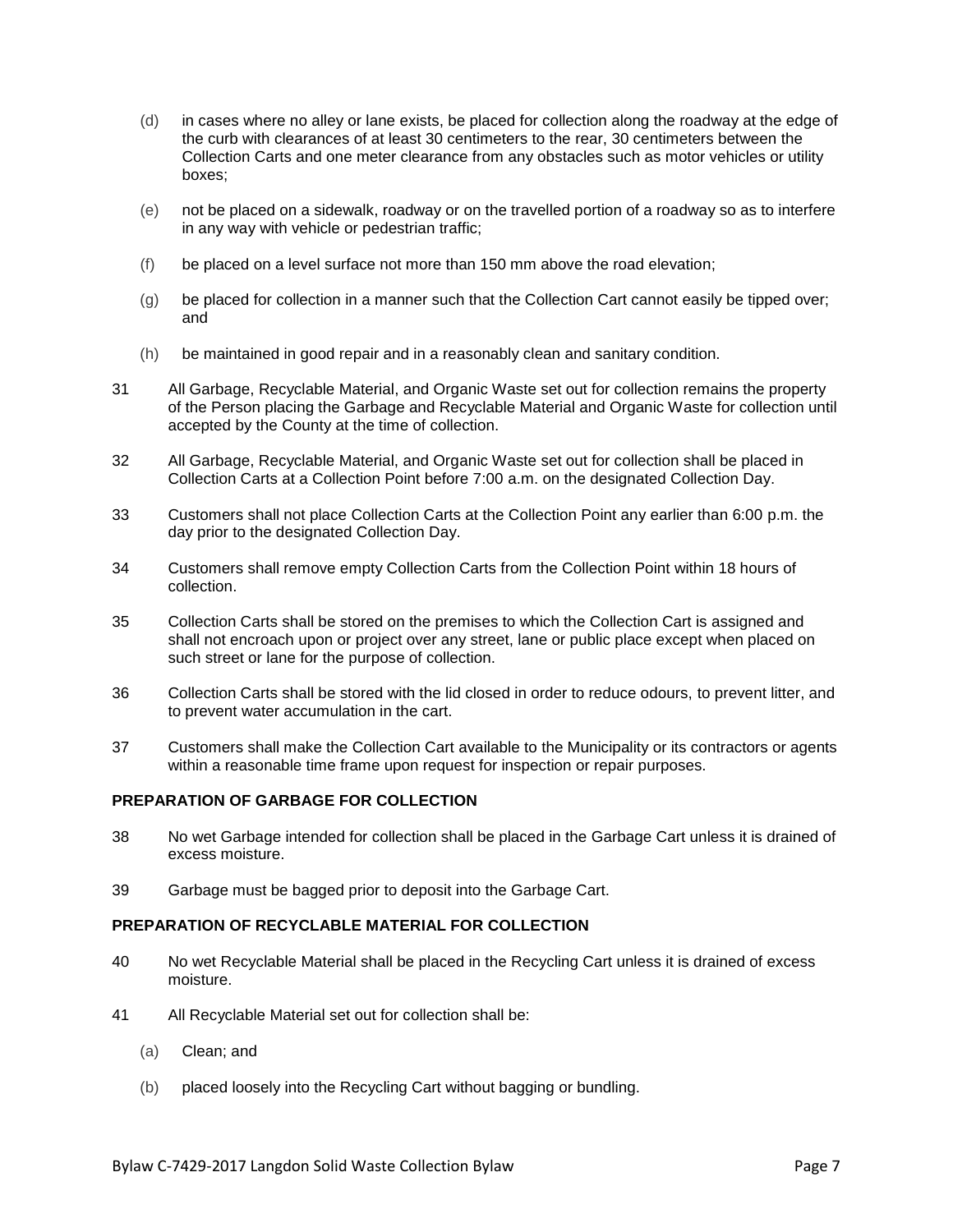- (d) in cases where no alley or lane exists, be placed for collection along the roadway at the edge of the curb with clearances of at least 30 centimeters to the rear, 30 centimeters between the Collection Carts and one meter clearance from any obstacles such as motor vehicles or utility boxes;
- (e) not be placed on a sidewalk, roadway or on the travelled portion of a roadway so as to interfere in any way with vehicle or pedestrian traffic;
- (f) be placed on a level surface not more than 150 mm above the road elevation;
- (g) be placed for collection in a manner such that the Collection Cart cannot easily be tipped over; and
- (h) be maintained in good repair and in a reasonably clean and sanitary condition.
- 31 All Garbage, Recyclable Material, and Organic Waste set out for collection remains the property of the Person placing the Garbage and Recyclable Material and Organic Waste for collection until accepted by the County at the time of collection.
- 32 All Garbage, Recyclable Material, and Organic Waste set out for collection shall be placed in Collection Carts at a Collection Point before 7:00 a.m. on the designated Collection Day.
- 33 Customers shall not place Collection Carts at the Collection Point any earlier than 6:00 p.m. the day prior to the designated Collection Day.
- 34 Customers shall remove empty Collection Carts from the Collection Point within 18 hours of collection.
- 35 Collection Carts shall be stored on the premises to which the Collection Cart is assigned and shall not encroach upon or project over any street, lane or public place except when placed on such street or lane for the purpose of collection.
- 36 Collection Carts shall be stored with the lid closed in order to reduce odours, to prevent litter, and to prevent water accumulation in the cart.
- 37 Customers shall make the Collection Cart available to the Municipality or its contractors or agents within a reasonable time frame upon request for inspection or repair purposes.

#### **PREPARATION OF GARBAGE FOR COLLECTION**

- 38 No wet Garbage intended for collection shall be placed in the Garbage Cart unless it is drained of excess moisture.
- 39 Garbage must be bagged prior to deposit into the Garbage Cart.

# **PREPARATION OF RECYCLABLE MATERIAL FOR COLLECTION**

- 40 No wet Recyclable Material shall be placed in the Recycling Cart unless it is drained of excess moisture.
- 41 All Recyclable Material set out for collection shall be:
	- (a) Clean; and
	- (b) placed loosely into the Recycling Cart without bagging or bundling.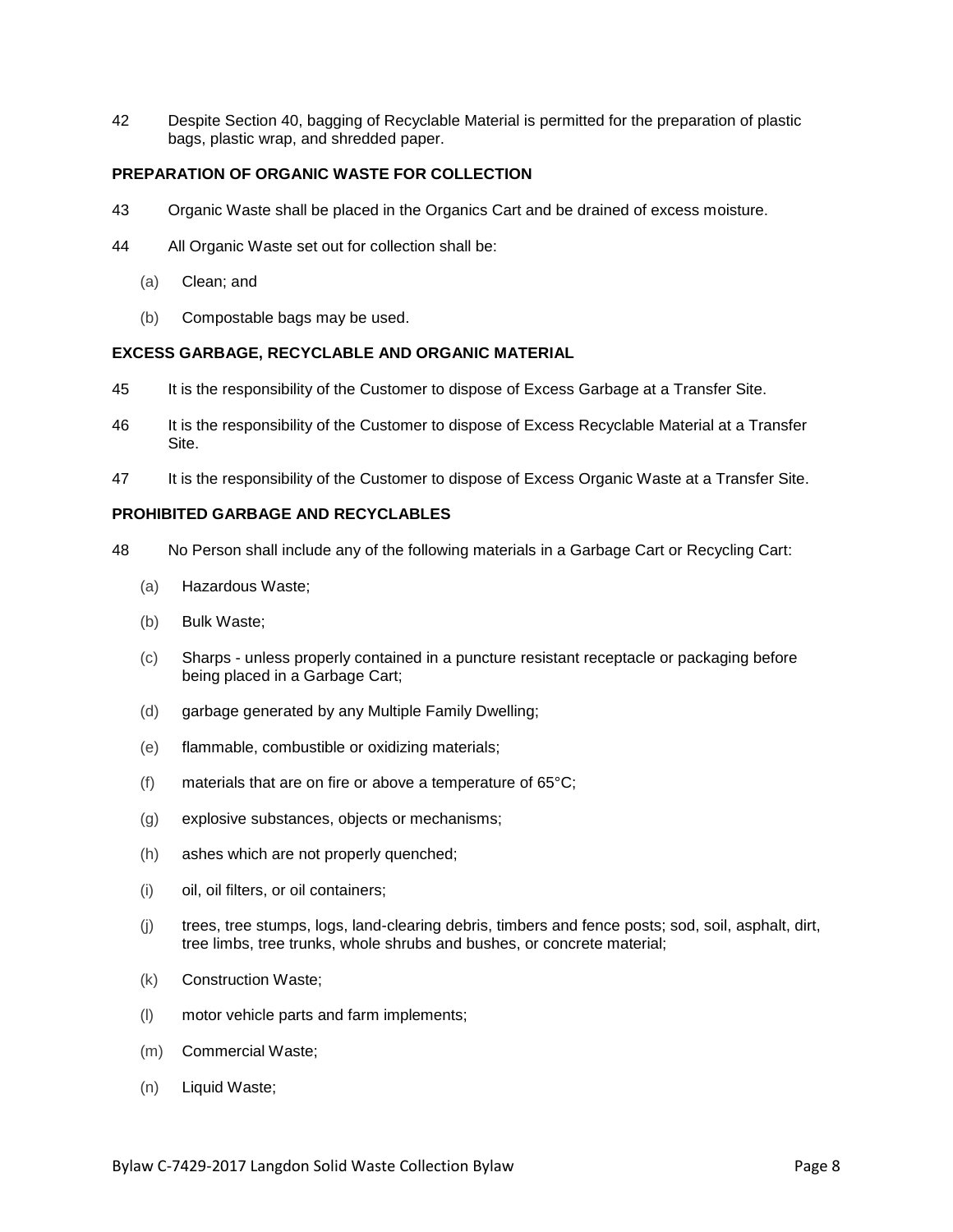42 Despite Section 40, bagging of Recyclable Material is permitted for the preparation of plastic bags, plastic wrap, and shredded paper.

# **PREPARATION OF ORGANIC WASTE FOR COLLECTION**

- 43 Organic Waste shall be placed in the Organics Cart and be drained of excess moisture.
- 44 All Organic Waste set out for collection shall be:
	- (a) Clean; and
	- (b) Compostable bags may be used.

### **EXCESS GARBAGE, RECYCLABLE AND ORGANIC MATERIAL**

- 45 It is the responsibility of the Customer to dispose of Excess Garbage at a Transfer Site.
- 46 It is the responsibility of the Customer to dispose of Excess Recyclable Material at a Transfer Site.
- 47 It is the responsibility of the Customer to dispose of Excess Organic Waste at a Transfer Site.

# **PROHIBITED GARBAGE AND RECYCLABLES**

- 48 No Person shall include any of the following materials in a Garbage Cart or Recycling Cart:
	- (a) Hazardous Waste;
	- (b) Bulk Waste;
	- (c) Sharps unless properly contained in a puncture resistant receptacle or packaging before being placed in a Garbage Cart;
	- (d) garbage generated by any Multiple Family Dwelling;
	- (e) flammable, combustible or oxidizing materials;
	- (f) materials that are on fire or above a temperature of  $65^{\circ}$ C;
	- (g) explosive substances, objects or mechanisms;
	- (h) ashes which are not properly quenched;
	- (i) oil, oil filters, or oil containers;
	- (j) trees, tree stumps, logs, land-clearing debris, timbers and fence posts; sod, soil, asphalt, dirt, tree limbs, tree trunks, whole shrubs and bushes, or concrete material;
	- (k) Construction Waste;
	- (l) motor vehicle parts and farm implements;
	- (m) Commercial Waste;
	- (n) Liquid Waste;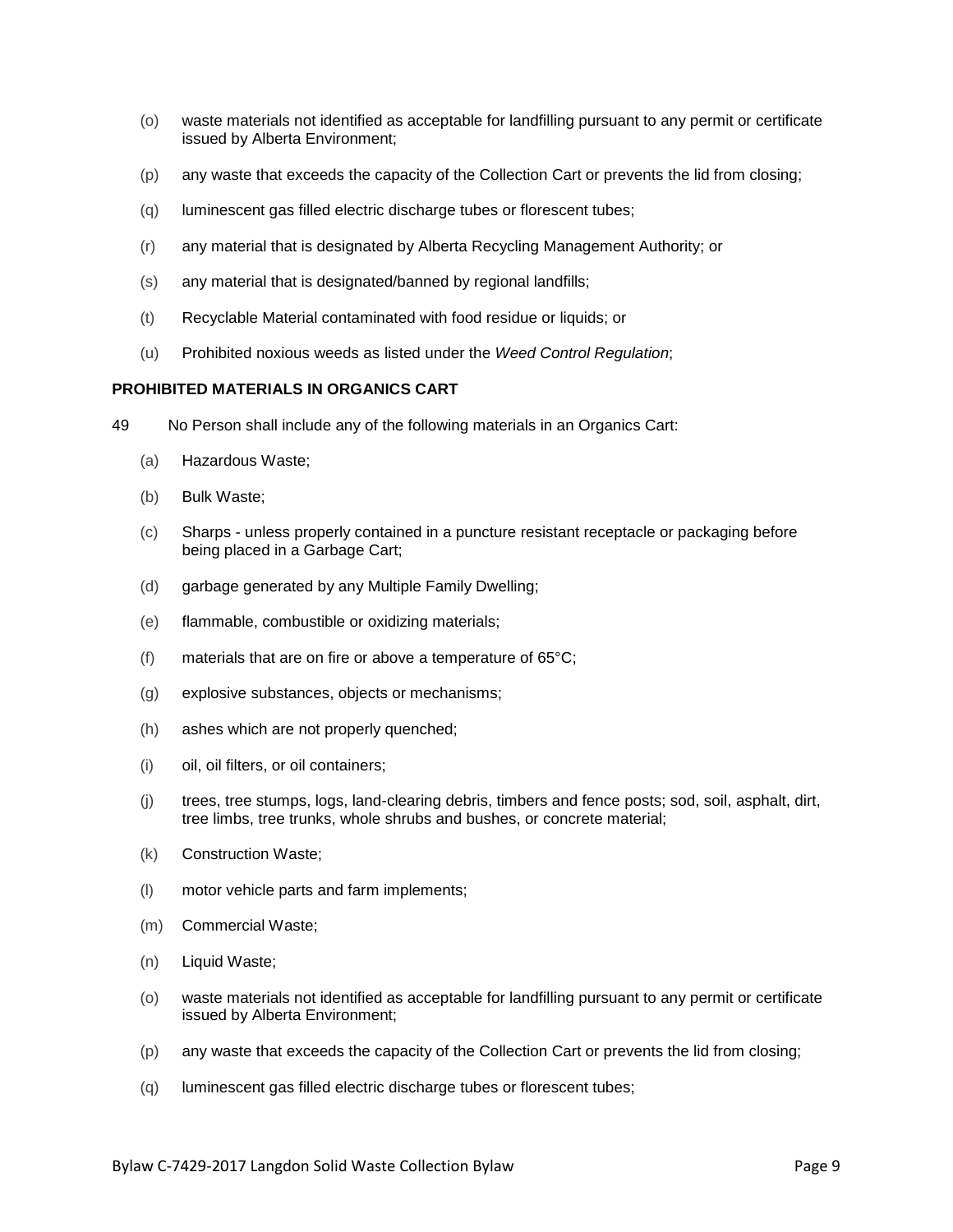- (o) waste materials not identified as acceptable for landfilling pursuant to any permit or certificate issued by Alberta Environment;
- (p) any waste that exceeds the capacity of the Collection Cart or prevents the lid from closing;
- (q) luminescent gas filled electric discharge tubes or florescent tubes;
- (r) any material that is designated by Alberta Recycling Management Authority; or
- (s) any material that is designated/banned by regional landfills;
- (t) Recyclable Material contaminated with food residue or liquids; or
- (u) Prohibited noxious weeds as listed under the *Weed Control Regulation*;

### **PROHIBITED MATERIALS IN ORGANICS CART**

- 49 No Person shall include any of the following materials in an Organics Cart:
	- (a) Hazardous Waste;
	- (b) Bulk Waste;
	- (c) Sharps unless properly contained in a puncture resistant receptacle or packaging before being placed in a Garbage Cart;
	- (d) garbage generated by any Multiple Family Dwelling;
	- (e) flammable, combustible or oxidizing materials;
	- (f) materials that are on fire or above a temperature of 65°C;
	- (g) explosive substances, objects or mechanisms;
	- (h) ashes which are not properly quenched;
	- (i) oil, oil filters, or oil containers;
	- (j) trees, tree stumps, logs, land-clearing debris, timbers and fence posts; sod, soil, asphalt, dirt, tree limbs, tree trunks, whole shrubs and bushes, or concrete material;
	- (k) Construction Waste;
	- (l) motor vehicle parts and farm implements;
	- (m) Commercial Waste;
	- (n) Liquid Waste;
	- (o) waste materials not identified as acceptable for landfilling pursuant to any permit or certificate issued by Alberta Environment;
	- (p) any waste that exceeds the capacity of the Collection Cart or prevents the lid from closing;
	- (q) luminescent gas filled electric discharge tubes or florescent tubes;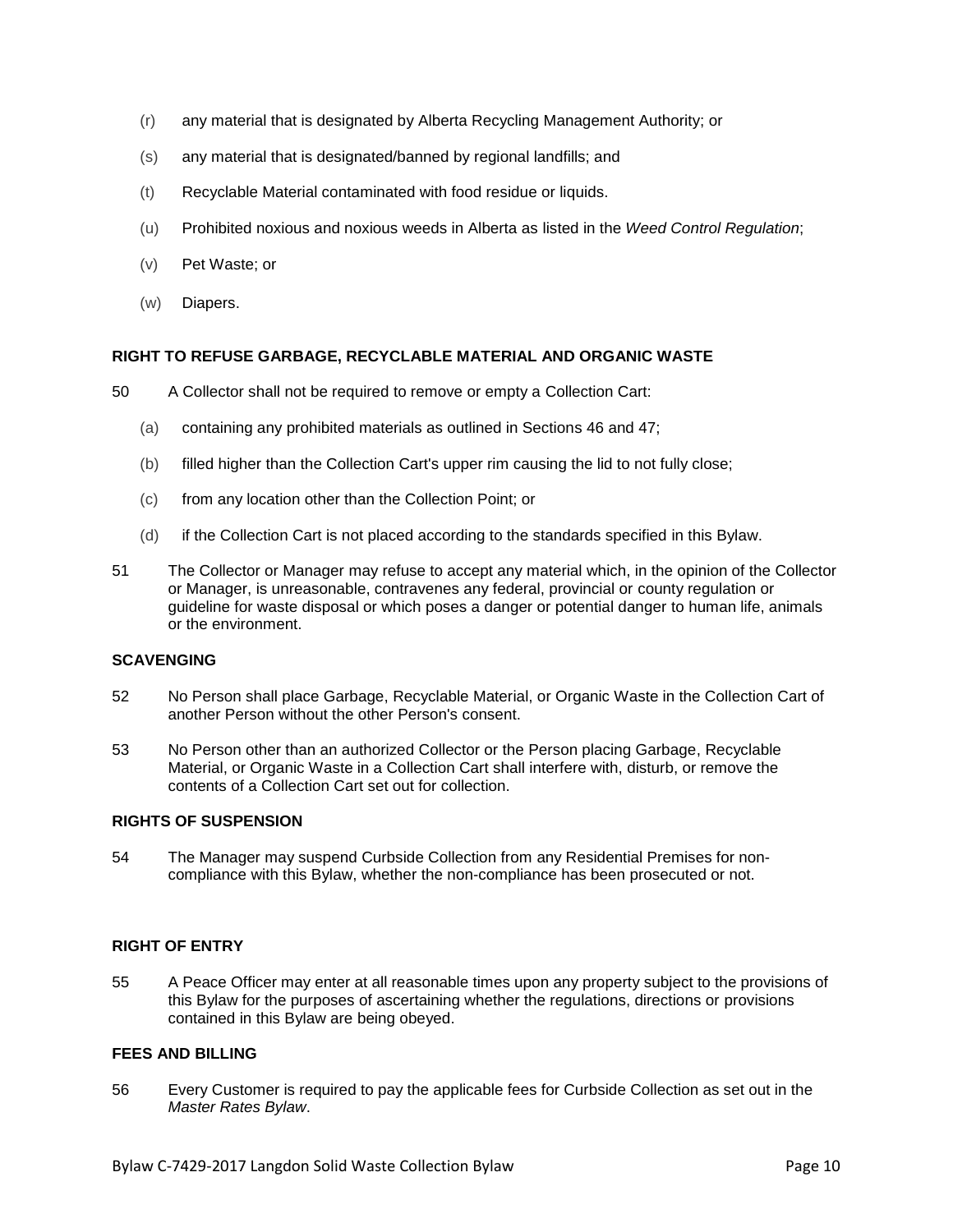- (r) any material that is designated by Alberta Recycling Management Authority; or
- (s) any material that is designated/banned by regional landfills; and
- (t) Recyclable Material contaminated with food residue or liquids.
- (u) Prohibited noxious and noxious weeds in Alberta as listed in the *Weed Control Regulation*;
- (v) Pet Waste; or
- (w) Diapers.

### **RIGHT TO REFUSE GARBAGE, RECYCLABLE MATERIAL AND ORGANIC WASTE**

- 50 A Collector shall not be required to remove or empty a Collection Cart:
	- (a) containing any prohibited materials as outlined in Sections 46 and 47;
	- (b) filled higher than the Collection Cart's upper rim causing the lid to not fully close;
	- (c) from any location other than the Collection Point; or
	- (d) if the Collection Cart is not placed according to the standards specified in this Bylaw.
- 51 The Collector or Manager may refuse to accept any material which, in the opinion of the Collector or Manager, is unreasonable, contravenes any federal, provincial or county regulation or guideline for waste disposal or which poses a danger or potential danger to human life, animals or the environment.

#### **SCAVENGING**

- 52 No Person shall place Garbage, Recyclable Material, or Organic Waste in the Collection Cart of another Person without the other Person's consent.
- 53 No Person other than an authorized Collector or the Person placing Garbage, Recyclable Material, or Organic Waste in a Collection Cart shall interfere with, disturb, or remove the contents of a Collection Cart set out for collection.

#### **RIGHTS OF SUSPENSION**

54 The Manager may suspend Curbside Collection from any Residential Premises for noncompliance with this Bylaw, whether the non-compliance has been prosecuted or not.

# **RIGHT OF ENTRY**

55 A Peace Officer may enter at all reasonable times upon any property subject to the provisions of this Bylaw for the purposes of ascertaining whether the regulations, directions or provisions contained in this Bylaw are being obeyed.

# **FEES AND BILLING**

56 Every Customer is required to pay the applicable fees for Curbside Collection as set out in the *Master Rates Bylaw*.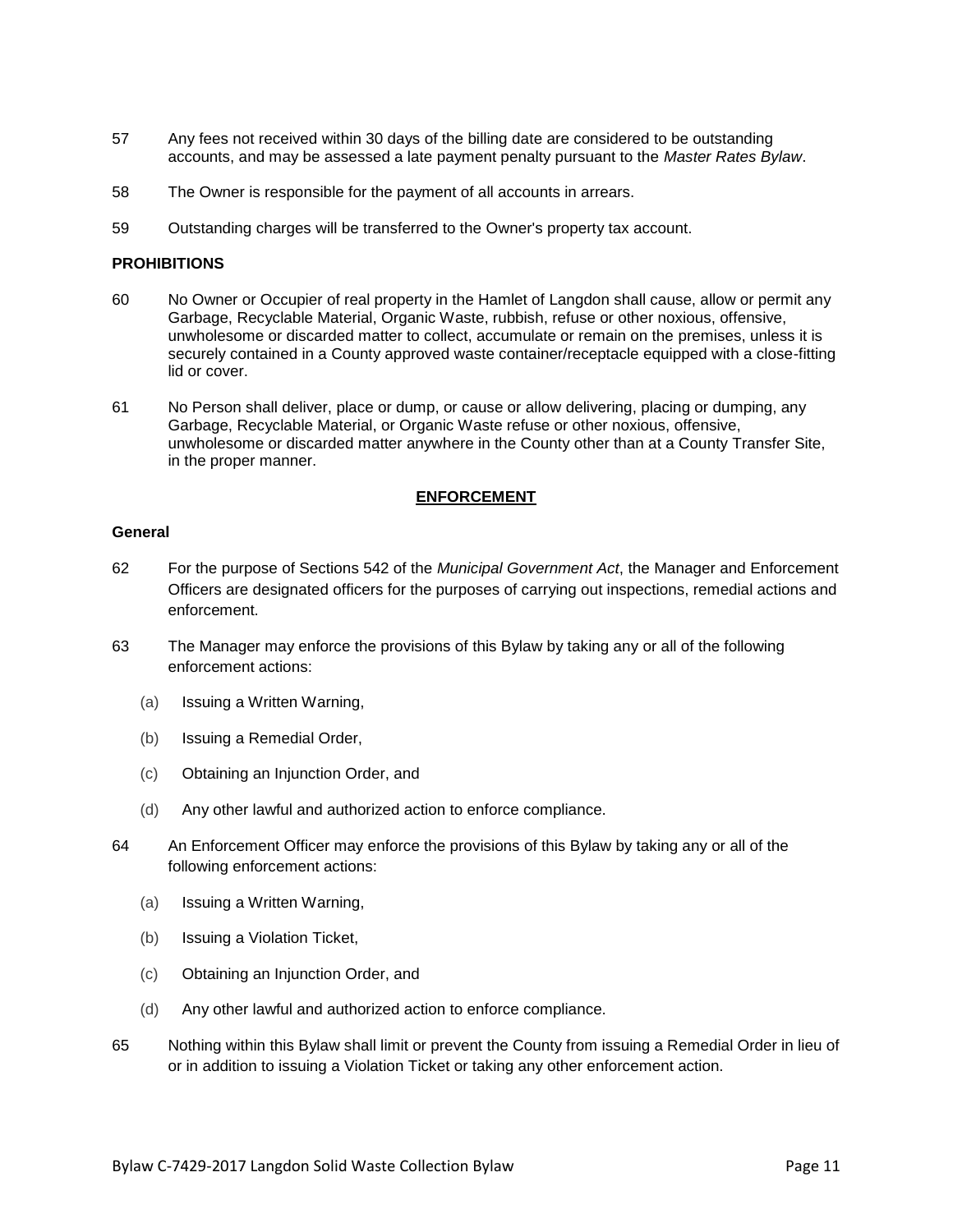- 57 Any fees not received within 30 days of the billing date are considered to be outstanding accounts, and may be assessed a late payment penalty pursuant to the *Master Rates Bylaw*.
- 58 The Owner is responsible for the payment of all accounts in arrears.
- 59 Outstanding charges will be transferred to the Owner's property tax account.

#### **PROHIBITIONS**

- 60 No Owner or Occupier of real property in the Hamlet of Langdon shall cause, allow or permit any Garbage, Recyclable Material, Organic Waste, rubbish, refuse or other noxious, offensive, unwholesome or discarded matter to collect, accumulate or remain on the premises, unless it is securely contained in a County approved waste container/receptacle equipped with a close-fitting lid or cover.
- 61 No Person shall deliver, place or dump, or cause or allow delivering, placing or dumping, any Garbage, Recyclable Material, or Organic Waste refuse or other noxious, offensive, unwholesome or discarded matter anywhere in the County other than at a County Transfer Site, in the proper manner.

#### **ENFORCEMENT**

#### **General**

- 62 For the purpose of Sections 542 of the *Municipal Government Act*, the Manager and Enforcement Officers are designated officers for the purposes of carrying out inspections, remedial actions and enforcement.
- 63 The Manager may enforce the provisions of this Bylaw by taking any or all of the following enforcement actions:
	- (a) Issuing a Written Warning,
	- (b) Issuing a Remedial Order,
	- (c) Obtaining an Injunction Order, and
	- (d) Any other lawful and authorized action to enforce compliance.
- 64 An Enforcement Officer may enforce the provisions of this Bylaw by taking any or all of the following enforcement actions:
	- (a) Issuing a Written Warning,
	- (b) Issuing a Violation Ticket,
	- (c) Obtaining an Injunction Order, and
	- (d) Any other lawful and authorized action to enforce compliance.
- 65 Nothing within this Bylaw shall limit or prevent the County from issuing a Remedial Order in lieu of or in addition to issuing a Violation Ticket or taking any other enforcement action.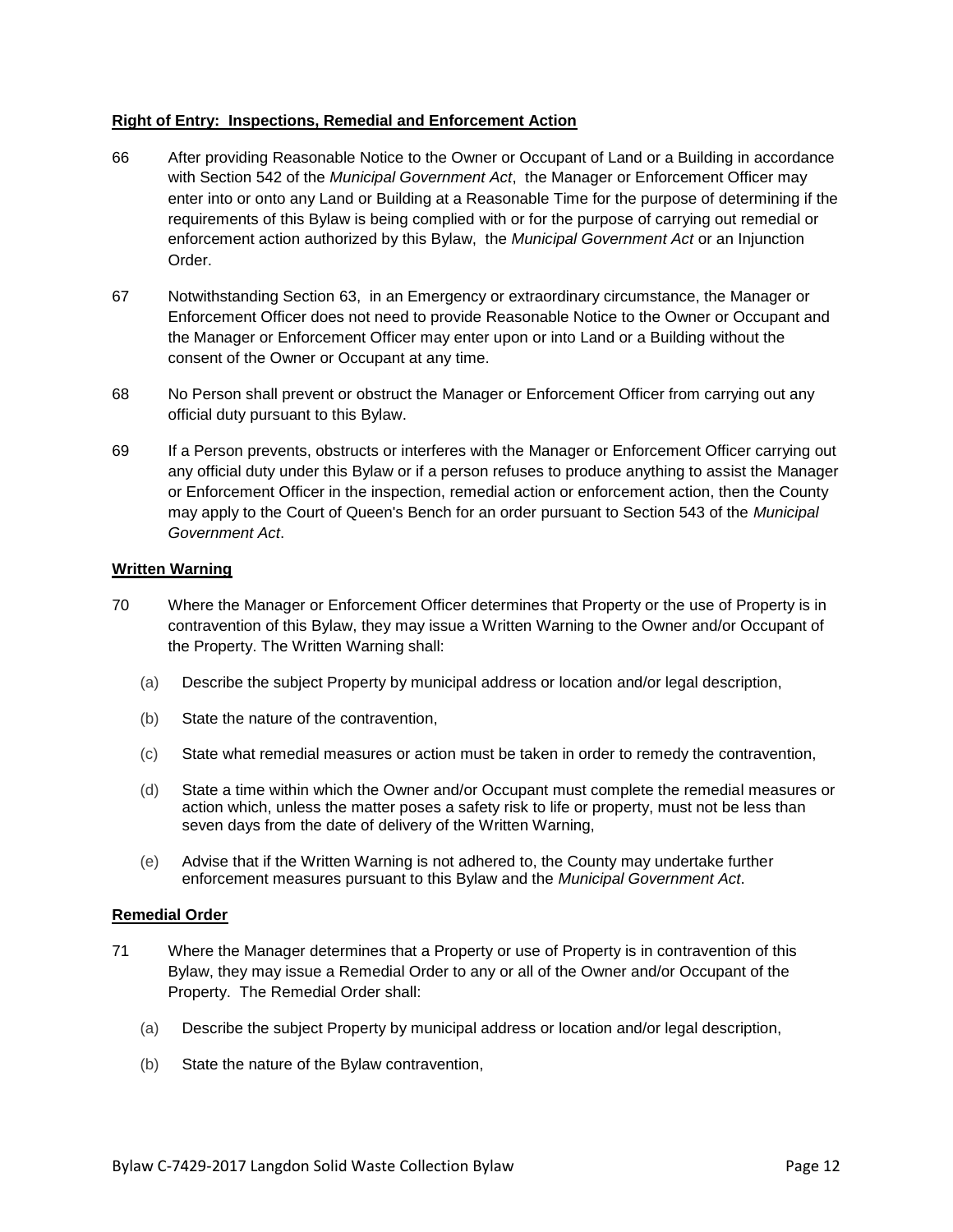### **Right of Entry: Inspections, Remedial and Enforcement Action**

- 66 After providing Reasonable Notice to the Owner or Occupant of Land or a Building in accordance with Section 542 of the *Municipal Government Act*, the Manager or Enforcement Officer may enter into or onto any Land or Building at a Reasonable Time for the purpose of determining if the requirements of this Bylaw is being complied with or for the purpose of carrying out remedial or enforcement action authorized by this Bylaw, the *Municipal Government Act* or an Injunction Order.
- 67 Notwithstanding Section 63, in an Emergency or extraordinary circumstance, the Manager or Enforcement Officer does not need to provide Reasonable Notice to the Owner or Occupant and the Manager or Enforcement Officer may enter upon or into Land or a Building without the consent of the Owner or Occupant at any time.
- 68 No Person shall prevent or obstruct the Manager or Enforcement Officer from carrying out any official duty pursuant to this Bylaw.
- 69 If a Person prevents, obstructs or interferes with the Manager or Enforcement Officer carrying out any official duty under this Bylaw or if a person refuses to produce anything to assist the Manager or Enforcement Officer in the inspection, remedial action or enforcement action, then the County may apply to the Court of Queen's Bench for an order pursuant to Section 543 of the *Municipal Government Act*.

### **Written Warning**

- 70 Where the Manager or Enforcement Officer determines that Property or the use of Property is in contravention of this Bylaw, they may issue a Written Warning to the Owner and/or Occupant of the Property. The Written Warning shall:
	- (a) Describe the subject Property by municipal address or location and/or legal description,
	- (b) State the nature of the contravention,
	- (c) State what remedial measures or action must be taken in order to remedy the contravention,
	- (d) State a time within which the Owner and/or Occupant must complete the remedial measures or action which, unless the matter poses a safety risk to life or property, must not be less than seven days from the date of delivery of the Written Warning,
	- (e) Advise that if the Written Warning is not adhered to, the County may undertake further enforcement measures pursuant to this Bylaw and the *Municipal Government Act*.

#### **Remedial Order**

- 71 Where the Manager determines that a Property or use of Property is in contravention of this Bylaw, they may issue a Remedial Order to any or all of the Owner and/or Occupant of the Property. The Remedial Order shall:
	- (a) Describe the subject Property by municipal address or location and/or legal description,
	- (b) State the nature of the Bylaw contravention,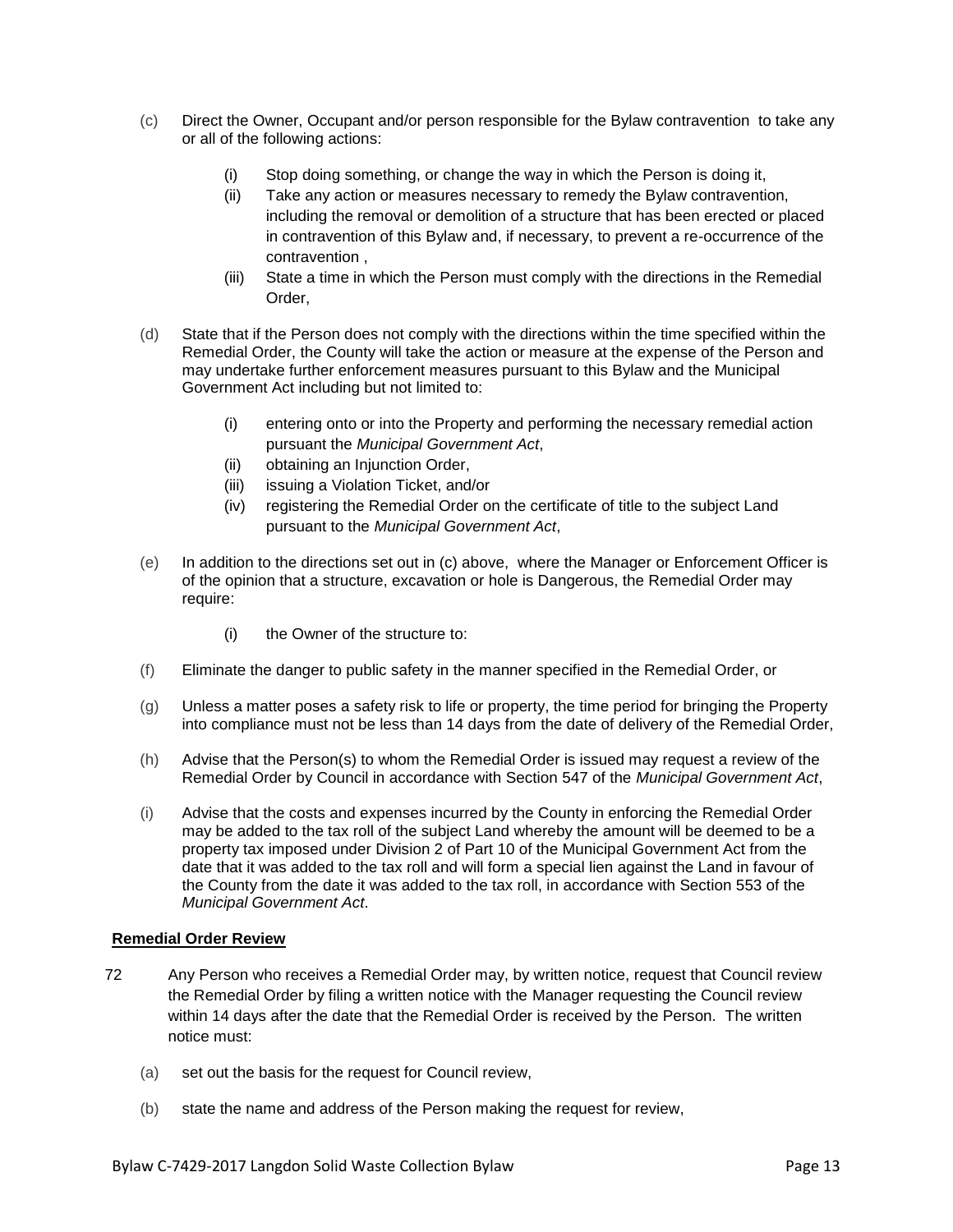- (c) Direct the Owner, Occupant and/or person responsible for the Bylaw contravention to take any or all of the following actions:
	- (i) Stop doing something, or change the way in which the Person is doing it,
	- (ii) Take any action or measures necessary to remedy the Bylaw contravention, including the removal or demolition of a structure that has been erected or placed in contravention of this Bylaw and, if necessary, to prevent a re-occurrence of the contravention ,
	- (iii) State a time in which the Person must comply with the directions in the Remedial Order,
- (d) State that if the Person does not comply with the directions within the time specified within the Remedial Order, the County will take the action or measure at the expense of the Person and may undertake further enforcement measures pursuant to this Bylaw and the Municipal Government Act including but not limited to:
	- (i) entering onto or into the Property and performing the necessary remedial action pursuant the *Municipal Government Act*,
	- (ii) obtaining an Injunction Order,
	- (iii) issuing a Violation Ticket, and/or
	- (iv) registering the Remedial Order on the certificate of title to the subject Land pursuant to the *Municipal Government Act*,
- (e) In addition to the directions set out in (c) above, where the Manager or Enforcement Officer is of the opinion that a structure, excavation or hole is Dangerous, the Remedial Order may require:
	- (i) the Owner of the structure to:
- (f) Eliminate the danger to public safety in the manner specified in the Remedial Order, or
- (g) Unless a matter poses a safety risk to life or property, the time period for bringing the Property into compliance must not be less than 14 days from the date of delivery of the Remedial Order,
- (h) Advise that the Person(s) to whom the Remedial Order is issued may request a review of the Remedial Order by Council in accordance with Section 547 of the *Municipal Government Act*,
- (i) Advise that the costs and expenses incurred by the County in enforcing the Remedial Order may be added to the tax roll of the subject Land whereby the amount will be deemed to be a property tax imposed under Division 2 of Part 10 of the Municipal Government Act from the date that it was added to the tax roll and will form a special lien against the Land in favour of the County from the date it was added to the tax roll, in accordance with Section 553 of the *Municipal Government Act*.

# **Remedial Order Review**

- 72 Any Person who receives a Remedial Order may, by written notice, request that Council review the Remedial Order by filing a written notice with the Manager requesting the Council review within 14 days after the date that the Remedial Order is received by the Person. The written notice must:
	- (a) set out the basis for the request for Council review,
	- (b) state the name and address of the Person making the request for review,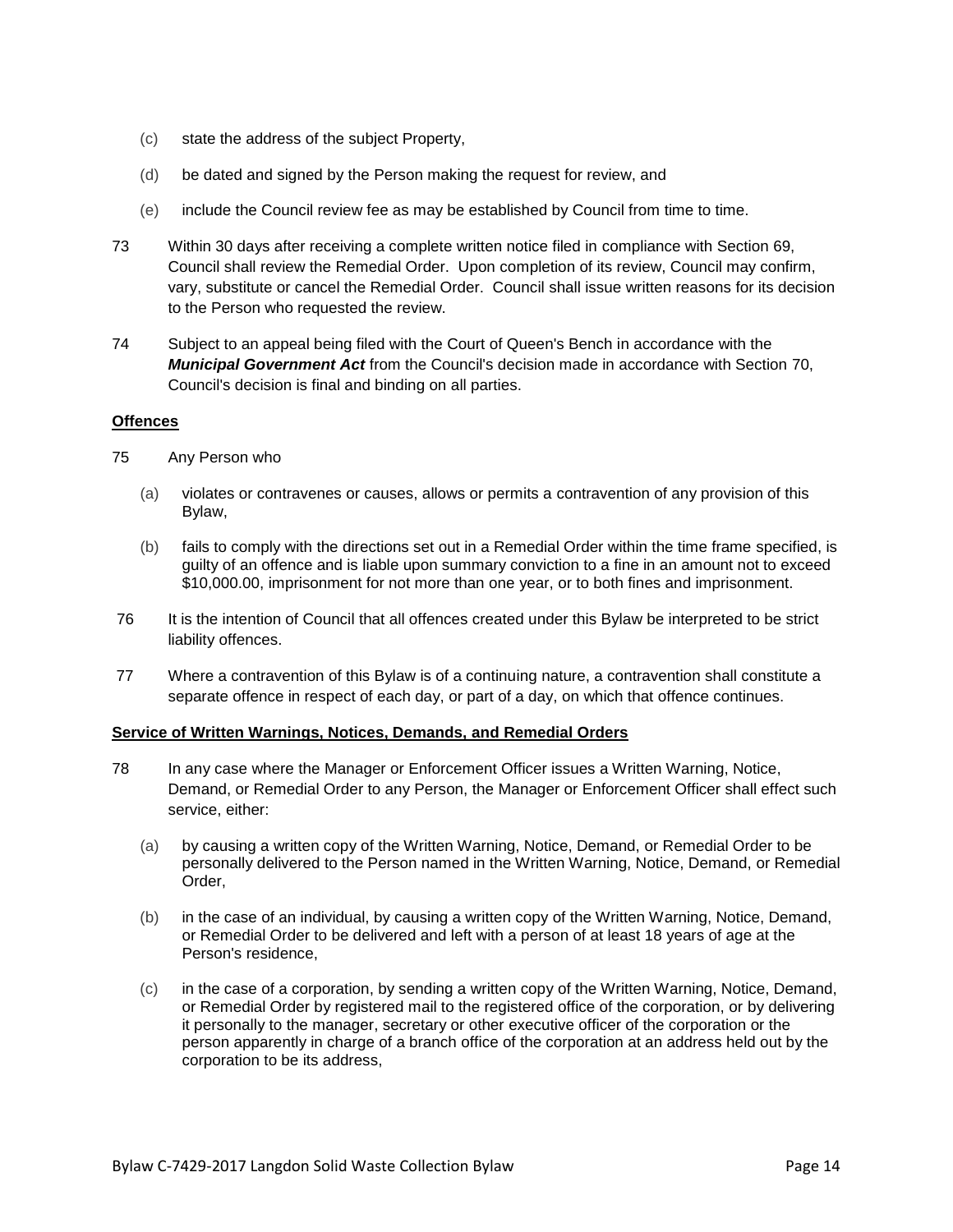- (c) state the address of the subject Property,
- (d) be dated and signed by the Person making the request for review, and
- (e) include the Council review fee as may be established by Council from time to time.
- 73 Within 30 days after receiving a complete written notice filed in compliance with Section 69, Council shall review the Remedial Order. Upon completion of its review, Council may confirm, vary, substitute or cancel the Remedial Order. Council shall issue written reasons for its decision to the Person who requested the review.
- 74 Subject to an appeal being filed with the Court of Queen's Bench in accordance with the *Municipal Government Act* from the Council's decision made in accordance with Section 70, Council's decision is final and binding on all parties.

#### **Offences**

- 75 Any Person who
	- (a) violates or contravenes or causes, allows or permits a contravention of any provision of this Bylaw,
	- (b) fails to comply with the directions set out in a Remedial Order within the time frame specified, is guilty of an offence and is liable upon summary conviction to a fine in an amount not to exceed \$10,000.00, imprisonment for not more than one year, or to both fines and imprisonment.
- 76 It is the intention of Council that all offences created under this Bylaw be interpreted to be strict liability offences.
- 77 Where a contravention of this Bylaw is of a continuing nature, a contravention shall constitute a separate offence in respect of each day, or part of a day, on which that offence continues.

#### **Service of Written Warnings, Notices, Demands, and Remedial Orders**

- 78 In any case where the Manager or Enforcement Officer issues a Written Warning, Notice, Demand, or Remedial Order to any Person, the Manager or Enforcement Officer shall effect such service, either:
	- (a) by causing a written copy of the Written Warning, Notice, Demand, or Remedial Order to be personally delivered to the Person named in the Written Warning, Notice, Demand, or Remedial Order,
	- (b) in the case of an individual, by causing a written copy of the Written Warning, Notice, Demand, or Remedial Order to be delivered and left with a person of at least 18 years of age at the Person's residence,
	- (c) in the case of a corporation, by sending a written copy of the Written Warning, Notice, Demand, or Remedial Order by registered mail to the registered office of the corporation, or by delivering it personally to the manager, secretary or other executive officer of the corporation or the person apparently in charge of a branch office of the corporation at an address held out by the corporation to be its address,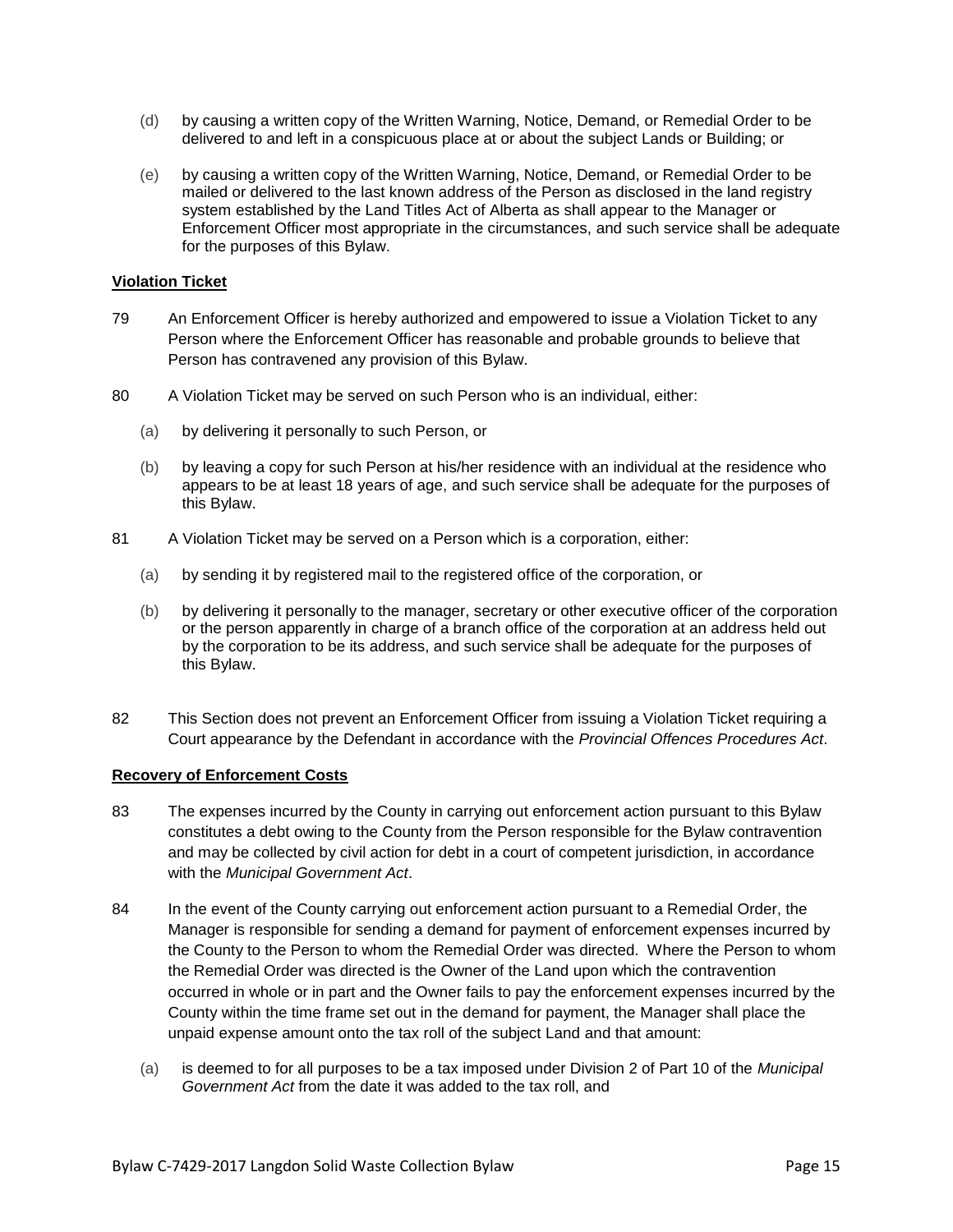- (d) by causing a written copy of the Written Warning, Notice, Demand, or Remedial Order to be delivered to and left in a conspicuous place at or about the subject Lands or Building; or
- (e) by causing a written copy of the Written Warning, Notice, Demand, or Remedial Order to be mailed or delivered to the last known address of the Person as disclosed in the land registry system established by the Land Titles Act of Alberta as shall appear to the Manager or Enforcement Officer most appropriate in the circumstances, and such service shall be adequate for the purposes of this Bylaw.

# **Violation Ticket**

- 79 An Enforcement Officer is hereby authorized and empowered to issue a Violation Ticket to any Person where the Enforcement Officer has reasonable and probable grounds to believe that Person has contravened any provision of this Bylaw.
- 80 A Violation Ticket may be served on such Person who is an individual, either:
	- (a) by delivering it personally to such Person, or
	- (b) by leaving a copy for such Person at his/her residence with an individual at the residence who appears to be at least 18 years of age, and such service shall be adequate for the purposes of this Bylaw.
- 81 A Violation Ticket may be served on a Person which is a corporation, either:
	- (a) by sending it by registered mail to the registered office of the corporation, or
	- (b) by delivering it personally to the manager, secretary or other executive officer of the corporation or the person apparently in charge of a branch office of the corporation at an address held out by the corporation to be its address, and such service shall be adequate for the purposes of this Bylaw.
- 82 This Section does not prevent an Enforcement Officer from issuing a Violation Ticket requiring a Court appearance by the Defendant in accordance with the *Provincial Offences Procedures Act*.

#### **Recovery of Enforcement Costs**

- 83 The expenses incurred by the County in carrying out enforcement action pursuant to this Bylaw constitutes a debt owing to the County from the Person responsible for the Bylaw contravention and may be collected by civil action for debt in a court of competent jurisdiction, in accordance with the *Municipal Government Act*.
- 84 In the event of the County carrying out enforcement action pursuant to a Remedial Order, the Manager is responsible for sending a demand for payment of enforcement expenses incurred by the County to the Person to whom the Remedial Order was directed. Where the Person to whom the Remedial Order was directed is the Owner of the Land upon which the contravention occurred in whole or in part and the Owner fails to pay the enforcement expenses incurred by the County within the time frame set out in the demand for payment, the Manager shall place the unpaid expense amount onto the tax roll of the subject Land and that amount:
	- (a) is deemed to for all purposes to be a tax imposed under Division 2 of Part 10 of the *Municipal Government Act* from the date it was added to the tax roll, and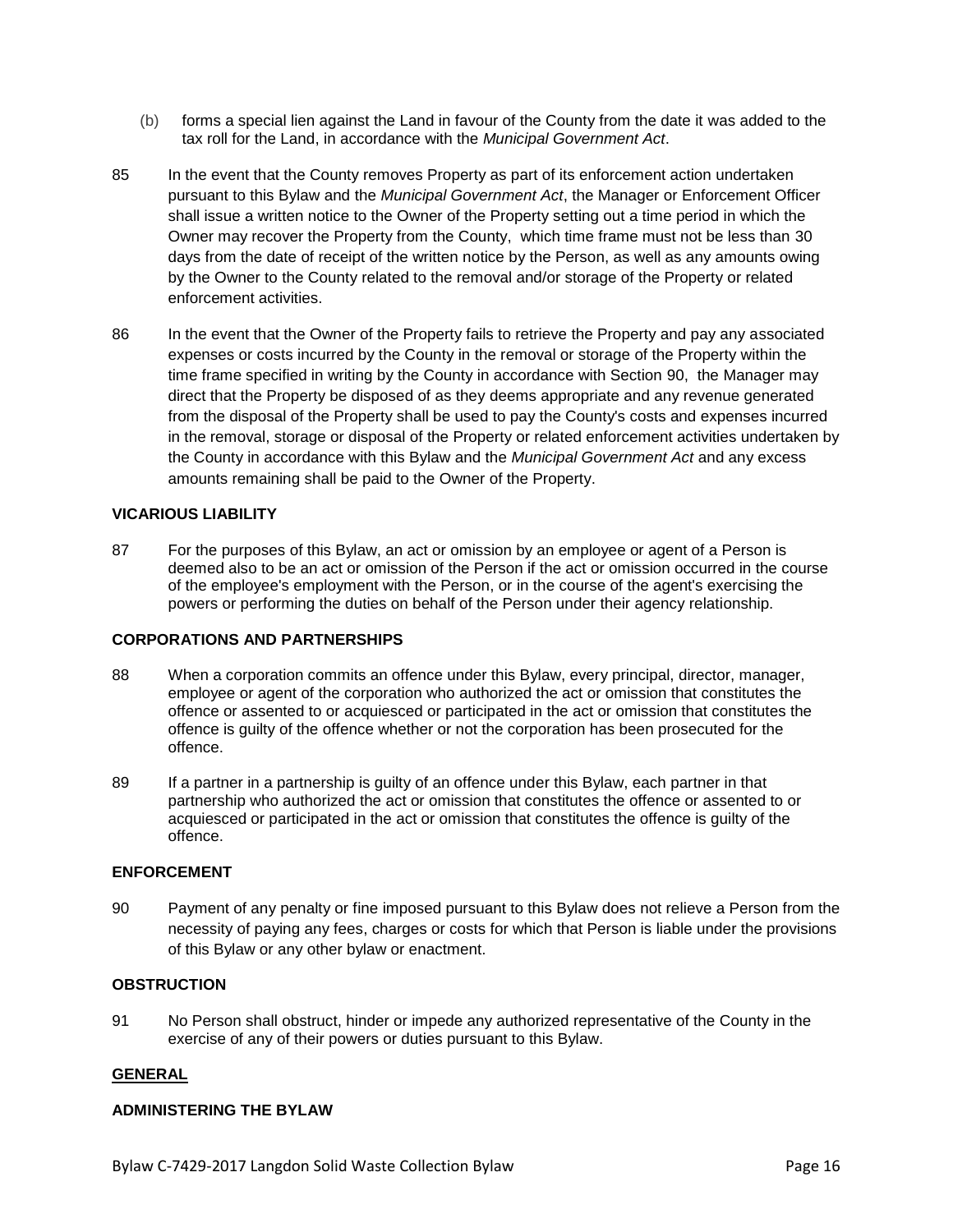- (b) forms a special lien against the Land in favour of the County from the date it was added to the tax roll for the Land, in accordance with the *Municipal Government Act*.
- 85 In the event that the County removes Property as part of its enforcement action undertaken pursuant to this Bylaw and the *Municipal Government Act*, the Manager or Enforcement Officer shall issue a written notice to the Owner of the Property setting out a time period in which the Owner may recover the Property from the County, which time frame must not be less than 30 days from the date of receipt of the written notice by the Person, as well as any amounts owing by the Owner to the County related to the removal and/or storage of the Property or related enforcement activities.
- 86 In the event that the Owner of the Property fails to retrieve the Property and pay any associated expenses or costs incurred by the County in the removal or storage of the Property within the time frame specified in writing by the County in accordance with Section 90, the Manager may direct that the Property be disposed of as they deems appropriate and any revenue generated from the disposal of the Property shall be used to pay the County's costs and expenses incurred in the removal, storage or disposal of the Property or related enforcement activities undertaken by the County in accordance with this Bylaw and the *Municipal Government Act* and any excess amounts remaining shall be paid to the Owner of the Property.

# **VICARIOUS LIABILITY**

87 For the purposes of this Bylaw, an act or omission by an employee or agent of a Person is deemed also to be an act or omission of the Person if the act or omission occurred in the course of the employee's employment with the Person, or in the course of the agent's exercising the powers or performing the duties on behalf of the Person under their agency relationship.

#### **CORPORATIONS AND PARTNERSHIPS**

- 88 When a corporation commits an offence under this Bylaw, every principal, director, manager, employee or agent of the corporation who authorized the act or omission that constitutes the offence or assented to or acquiesced or participated in the act or omission that constitutes the offence is guilty of the offence whether or not the corporation has been prosecuted for the offence.
- 89 If a partner in a partnership is guilty of an offence under this Bylaw, each partner in that partnership who authorized the act or omission that constitutes the offence or assented to or acquiesced or participated in the act or omission that constitutes the offence is guilty of the offence.

# **ENFORCEMENT**

90 Payment of any penalty or fine imposed pursuant to this Bylaw does not relieve a Person from the necessity of paying any fees, charges or costs for which that Person is liable under the provisions of this Bylaw or any other bylaw or enactment.

# **OBSTRUCTION**

91 No Person shall obstruct, hinder or impede any authorized representative of the County in the exercise of any of their powers or duties pursuant to this Bylaw.

#### **GENERAL**

#### **ADMINISTERING THE BYLAW**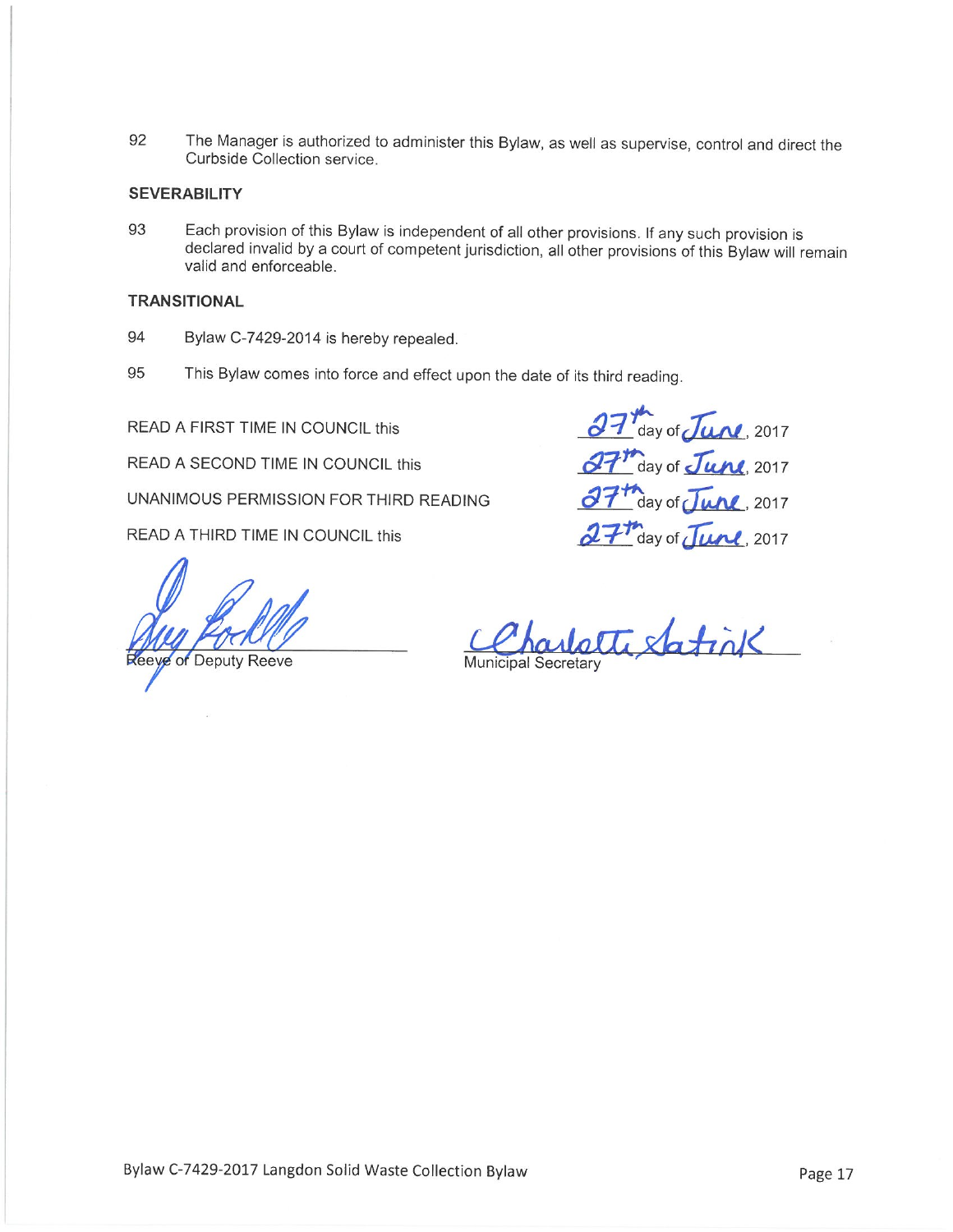The Manager is authorized to administer this Bylaw, as well as supervise, control and direct the 92 Curbside Collection service.

#### **SEVERABILITY**

93 Each provision of this Bylaw is independent of all other provisions. If any such provision is declared invalid by a court of competent jurisdiction, all other provisions of this Bylaw will remain valid and enforceable.

#### **TRANSITIONAL**

- 94 Bylaw C-7429-2014 is hereby repealed.
- 95 This Bylaw comes into force and effect upon the date of its third reading.

READ A FIRST TIME IN COUNCIL this

READ A SECOND TIME IN COUNCIL this

UNANIMOUS PERMISSION FOR THIRD READING

READ A THIRD TIME IN COUNCIL this

Reeye of Deputy Reeve

27 day of June, 2017 27th day of June, 2017 37<sup>th</sup> day of June, 2017 27th day of June, 2017

harlette Satink **Municipal Secretary**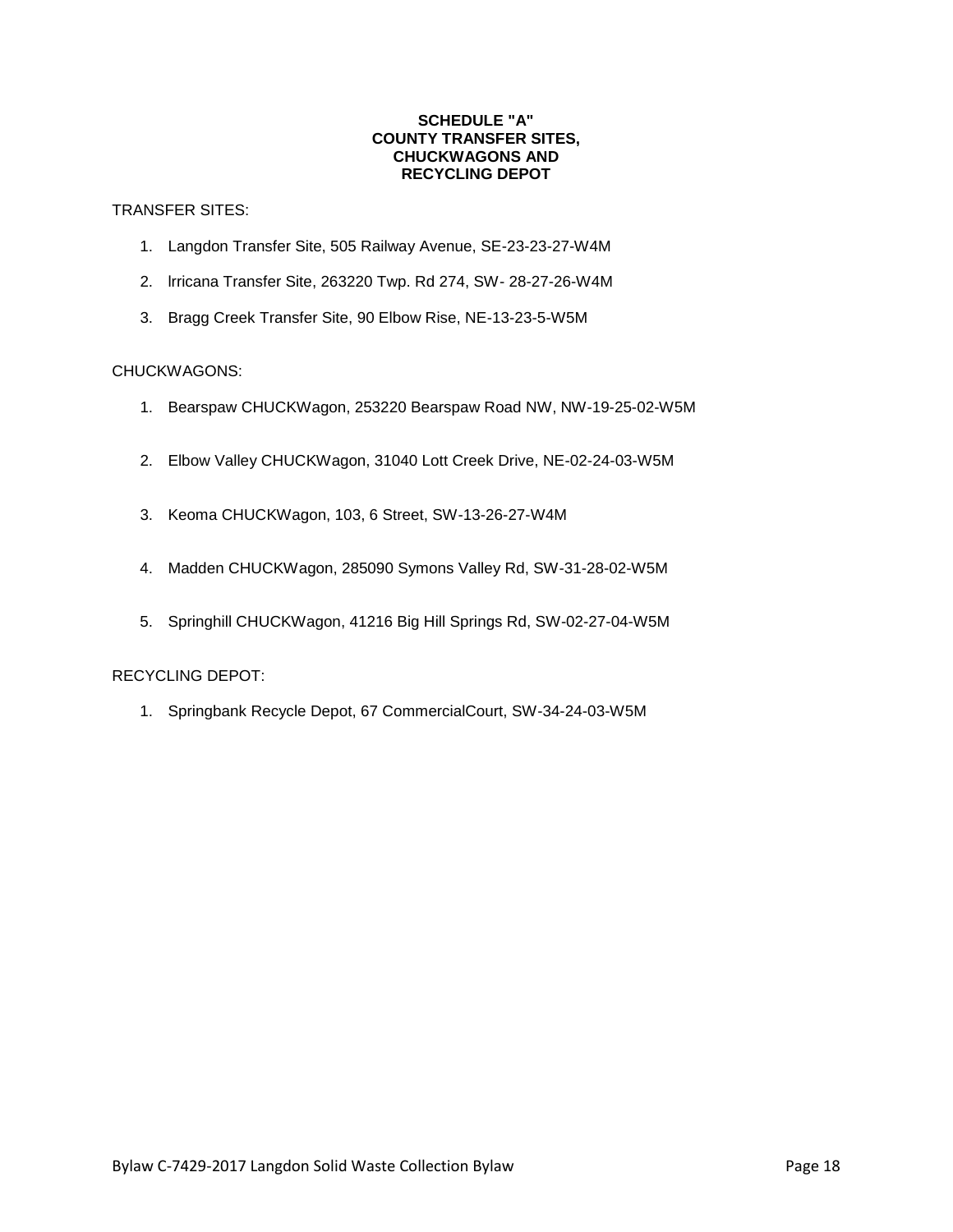#### **SCHEDULE "A" COUNTY TRANSFER SITES, CHUCKWAGONS AND RECYCLING DEPOT**

# TRANSFER SITES:

- 1. Langdon Transfer Site, 505 Railway Avenue, SE-23-23-27-W4M
- 2. lrricana Transfer Site, 263220 Twp. Rd 274, SW- 28-27-26-W4M
- 3. Bragg Creek Transfer Site, 90 Elbow Rise, NE-13-23-5-W5M

# CHUCKWAGONS:

- 1. Bearspaw CHUCKWagon, 253220 Bearspaw Road NW, NW-19-25-02-W5M
- 2. Elbow Valley CHUCKWagon, 31040 Lott Creek Drive, NE-02-24-03-W5M
- 3. Keoma CHUCKWagon, 103, 6 Street, SW-13-26-27-W4M
- 4. Madden CHUCKWagon, 285090 Symons Valley Rd, SW-31-28-02-W5M
- 5. Springhill CHUCKWagon, 41216 Big Hill Springs Rd, SW-02-27-04-W5M

# RECYCLING DEPOT:

1. Springbank Recycle Depot, 67 CommercialCourt, SW-34-24-03-W5M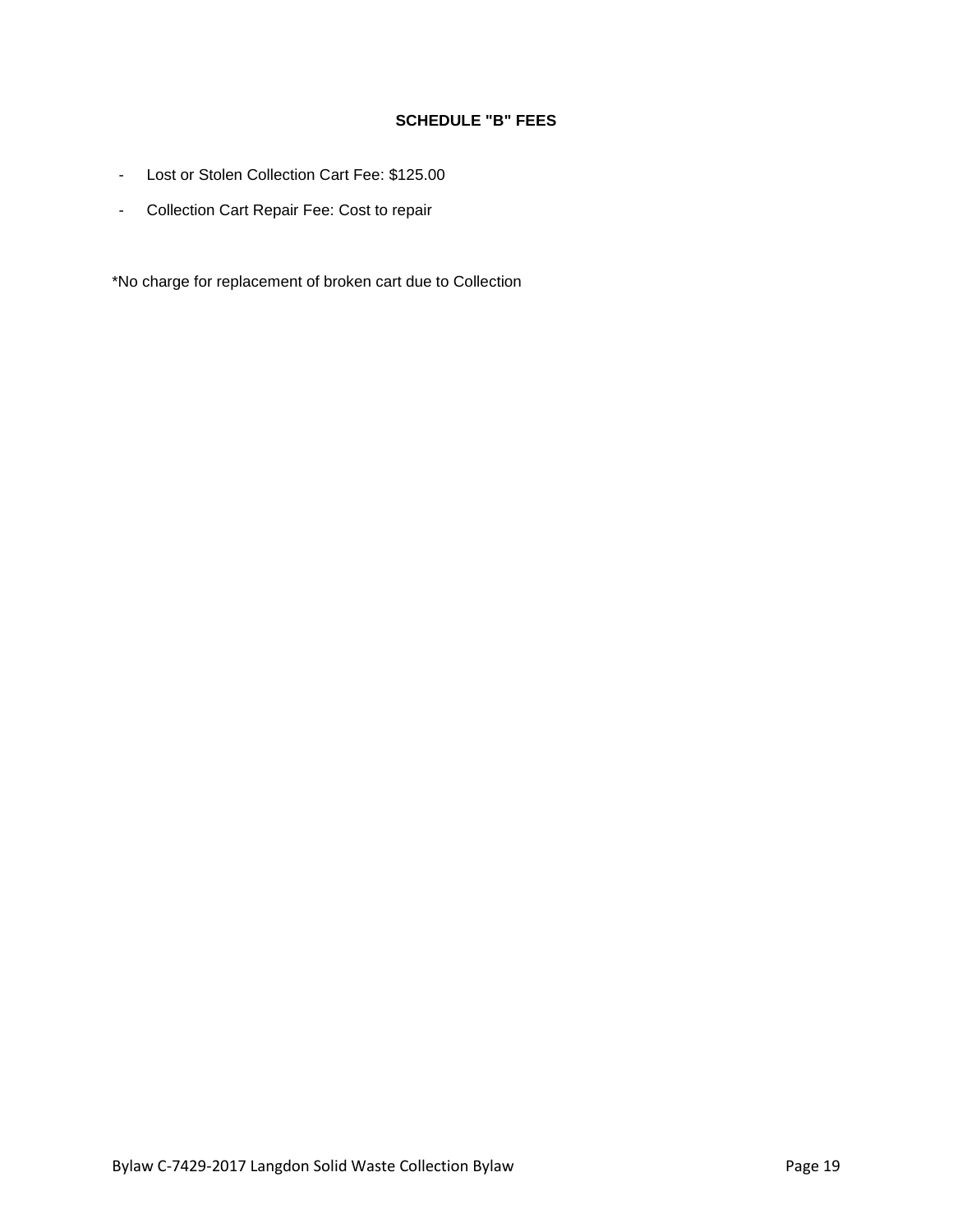# **SCHEDULE "B" FEES**

- Lost or Stolen Collection Cart Fee: \$125.00
- Collection Cart Repair Fee: Cost to repair

\*No charge for replacement of broken cart due to Collection